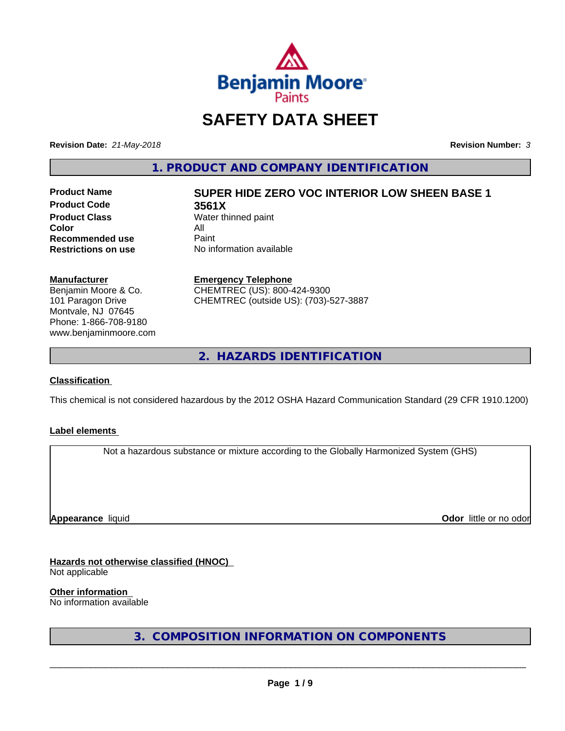

# **SAFETY DATA SHEET**

**Revision Date:** *21-May-2018* **Revision Number:** *3*

**1. PRODUCT AND COMPANY IDENTIFICATION**

**Product Code 3561X Product Class** Water thinned paint<br> **Color Color** All **Recommended use** Paint<br> **Restrictions on use** No inf

# **Product Name SUPER HIDE ZERO VOC INTERIOR LOW SHEEN BASE 1**

**No information available** 

#### **Manufacturer**

Benjamin Moore & Co. 101 Paragon Drive Montvale, NJ 07645 Phone: 1-866-708-9180 www.benjaminmoore.com

#### **Emergency Telephone**

CHEMTREC (US): 800-424-9300 CHEMTREC (outside US): (703)-527-3887

**2. HAZARDS IDENTIFICATION**

#### **Classification**

This chemical is not considered hazardous by the 2012 OSHA Hazard Communication Standard (29 CFR 1910.1200)

#### **Label elements**

Not a hazardous substance or mixture according to the Globally Harmonized System (GHS)

**Appearance** liquid

**Odor** little or no odor

## **Hazards not otherwise classified (HNOC)**

Not applicable

**Other information**

No information available

**3. COMPOSITION INFORMATION ON COMPONENTS**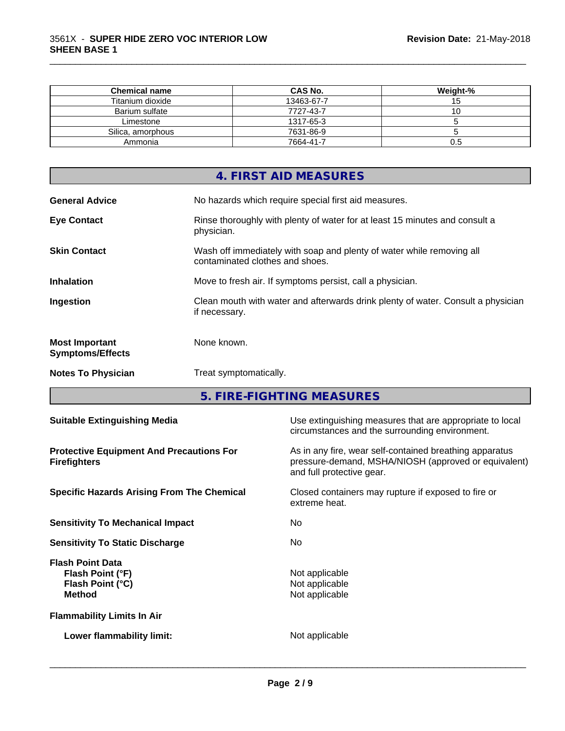| <b>Chemical name</b> | CAS No.    | Weight-% |
|----------------------|------------|----------|
| Titanium dioxide     | 13463-67-7 | ט ו      |
| Barium sulfate       | 7727-43-7  | ◡        |
| Limestone            | 1317-65-3  |          |
| Silica, amorphous    | 7631-86-9  |          |
| Ammonia              | 7664-41-7  | U.O      |

\_\_\_\_\_\_\_\_\_\_\_\_\_\_\_\_\_\_\_\_\_\_\_\_\_\_\_\_\_\_\_\_\_\_\_\_\_\_\_\_\_\_\_\_\_\_\_\_\_\_\_\_\_\_\_\_\_\_\_\_\_\_\_\_\_\_\_\_\_\_\_\_\_\_\_\_\_\_\_\_\_\_\_\_\_\_\_\_\_\_\_\_\_

|                                                  | 4. FIRST AID MEASURES                                                                                    |
|--------------------------------------------------|----------------------------------------------------------------------------------------------------------|
| <b>General Advice</b>                            | No hazards which require special first aid measures.                                                     |
| <b>Eye Contact</b>                               | Rinse thoroughly with plenty of water for at least 15 minutes and consult a<br>physician.                |
| <b>Skin Contact</b>                              | Wash off immediately with soap and plenty of water while removing all<br>contaminated clothes and shoes. |
| <b>Inhalation</b>                                | Move to fresh air. If symptoms persist, call a physician.                                                |
| Ingestion                                        | Clean mouth with water and afterwards drink plenty of water. Consult a physician<br>if necessary.        |
| <b>Most Important</b><br><b>Symptoms/Effects</b> | None known.                                                                                              |
| <b>Notes To Physician</b>                        | Treat symptomatically.                                                                                   |

**5. FIRE-FIGHTING MEASURES**

| <b>Suitable Extinguishing Media</b>                                              | Use extinguishing measures that are appropriate to local<br>circumstances and the surrounding environment.                                   |
|----------------------------------------------------------------------------------|----------------------------------------------------------------------------------------------------------------------------------------------|
| <b>Protective Equipment And Precautions For</b><br><b>Firefighters</b>           | As in any fire, wear self-contained breathing apparatus<br>pressure-demand, MSHA/NIOSH (approved or equivalent)<br>and full protective gear. |
| <b>Specific Hazards Arising From The Chemical</b>                                | Closed containers may rupture if exposed to fire or<br>extreme heat.                                                                         |
| <b>Sensitivity To Mechanical Impact</b>                                          | No.                                                                                                                                          |
| <b>Sensitivity To Static Discharge</b>                                           | No.                                                                                                                                          |
| <b>Flash Point Data</b><br>Flash Point (°F)<br>Flash Point (°C)<br><b>Method</b> | Not applicable<br>Not applicable<br>Not applicable                                                                                           |
| <b>Flammability Limits In Air</b>                                                |                                                                                                                                              |
| Lower flammability limit:                                                        | Not applicable                                                                                                                               |
|                                                                                  |                                                                                                                                              |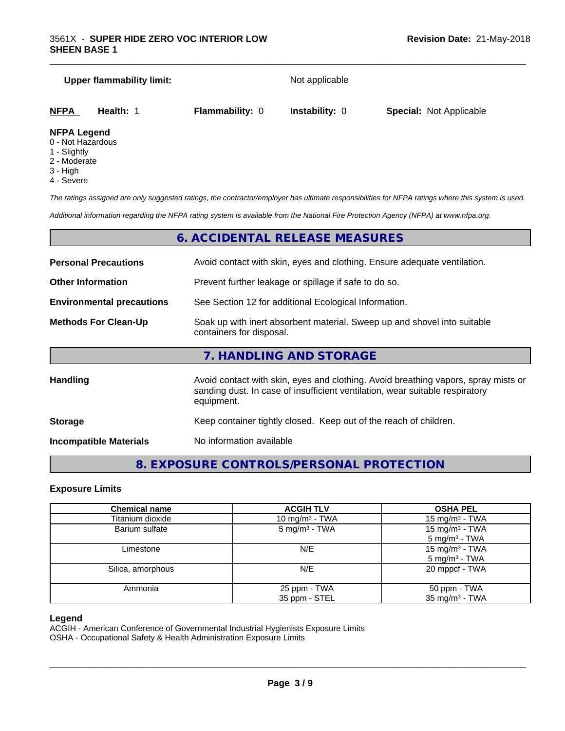# **Upper flammability limit:** Not applicable

| NFPA | Health: | <b>Flammability: 0</b> | <b>Instability: 0</b> | <b>Special: Not Applicable</b> |
|------|---------|------------------------|-----------------------|--------------------------------|
|      |         |                        |                       |                                |

\_\_\_\_\_\_\_\_\_\_\_\_\_\_\_\_\_\_\_\_\_\_\_\_\_\_\_\_\_\_\_\_\_\_\_\_\_\_\_\_\_\_\_\_\_\_\_\_\_\_\_\_\_\_\_\_\_\_\_\_\_\_\_\_\_\_\_\_\_\_\_\_\_\_\_\_\_\_\_\_\_\_\_\_\_\_\_\_\_\_\_\_\_

#### **NFPA Legend**

- 0 Not Hazardous
- 1 Slightly
- 2 Moderate
- 3 High
- 4 Severe

*The ratings assigned are only suggested ratings, the contractor/employer has ultimate responsibilities for NFPA ratings where this system is used.*

*Additional information regarding the NFPA rating system is available from the National Fire Protection Agency (NFPA) at www.nfpa.org.*

# **6. ACCIDENTAL RELEASE MEASURES**

| <b>Personal Precautions</b>      | Avoid contact with skin, eyes and clothing. Ensure adequate ventilation.                                                                                                         |  |
|----------------------------------|----------------------------------------------------------------------------------------------------------------------------------------------------------------------------------|--|
| <b>Other Information</b>         | Prevent further leakage or spillage if safe to do so.                                                                                                                            |  |
| <b>Environmental precautions</b> | See Section 12 for additional Ecological Information.                                                                                                                            |  |
| <b>Methods For Clean-Up</b>      | Soak up with inert absorbent material. Sweep up and shovel into suitable<br>containers for disposal.                                                                             |  |
|                                  | 7. HANDLING AND STORAGE                                                                                                                                                          |  |
| <b>Handling</b>                  | Avoid contact with skin, eyes and clothing. Avoid breathing vapors, spray mists or<br>sanding dust. In case of insufficient ventilation, wear suitable respiratory<br>equipment. |  |
| <b>Storage</b>                   | Keep container tightly closed. Keep out of the reach of children.                                                                                                                |  |
| <b>Incompatible Materials</b>    | No information available                                                                                                                                                         |  |

# **8. EXPOSURE CONTROLS/PERSONAL PROTECTION**

#### **Exposure Limits**

| <b>Chemical name</b> | <b>ACGIH TLV</b>           | <b>OSHA PEL</b>            |
|----------------------|----------------------------|----------------------------|
| Titanium dioxide     | 10 mg/m <sup>3</sup> - TWA | 15 mg/m <sup>3</sup> - TWA |
| Barium sulfate       | $5 \text{ mg/m}^3$ - TWA   | 15 mg/m $3$ - TWA          |
|                      |                            | $5 \text{ mg/m}^3$ - TWA   |
| Limestone            | N/E                        | 15 mg/m $3$ - TWA          |
|                      |                            | 5 mg/m <sup>3</sup> - TWA  |
| Silica, amorphous    | N/E                        | 20 mppcf - TWA             |
| Ammonia              | 25 ppm - TWA               | 50 ppm - TWA               |
|                      | 35 ppm - STEL              | 35 mg/m <sup>3</sup> - TWA |

#### **Legend**

ACGIH - American Conference of Governmental Industrial Hygienists Exposure Limits

OSHA - Occupational Safety & Health Administration Exposure Limits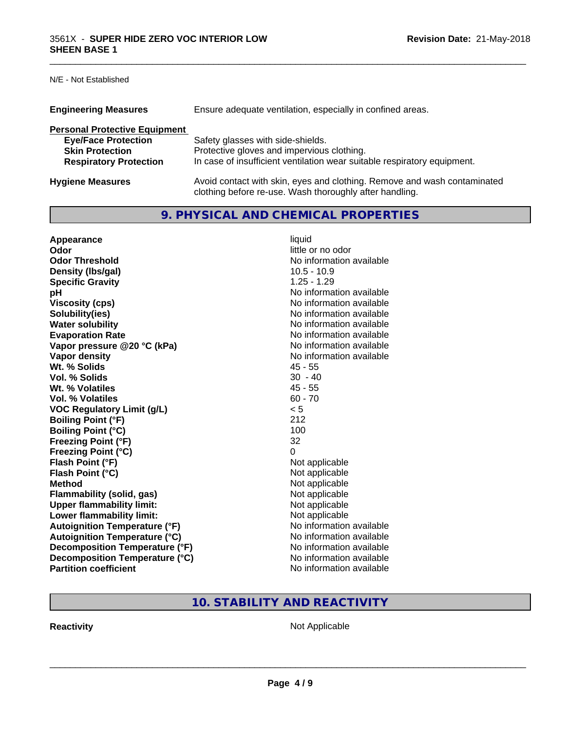N/E - Not Established

| <b>Engineering Measures</b>          | Ensure adequate ventilation, especially in confined areas.                                                                          |
|--------------------------------------|-------------------------------------------------------------------------------------------------------------------------------------|
| <b>Personal Protective Equipment</b> |                                                                                                                                     |
| <b>Eye/Face Protection</b>           | Safety glasses with side-shields.                                                                                                   |
| <b>Skin Protection</b>               | Protective gloves and impervious clothing.                                                                                          |
| <b>Respiratory Protection</b>        | In case of insufficient ventilation wear suitable respiratory equipment.                                                            |
| <b>Hygiene Measures</b>              | Avoid contact with skin, eyes and clothing. Remove and wash contaminated<br>clothing before re-use. Wash thoroughly after handling. |

\_\_\_\_\_\_\_\_\_\_\_\_\_\_\_\_\_\_\_\_\_\_\_\_\_\_\_\_\_\_\_\_\_\_\_\_\_\_\_\_\_\_\_\_\_\_\_\_\_\_\_\_\_\_\_\_\_\_\_\_\_\_\_\_\_\_\_\_\_\_\_\_\_\_\_\_\_\_\_\_\_\_\_\_\_\_\_\_\_\_\_\_\_

# **9. PHYSICAL AND CHEMICAL PROPERTIES**

| Appearance                           | liquid                   |
|--------------------------------------|--------------------------|
| Odor                                 | little or no odor        |
| <b>Odor Threshold</b>                | No information available |
| Density (Ibs/gal)                    | $10.5 - 10.9$            |
| <b>Specific Gravity</b>              | $1.25 - 1.29$            |
| рH                                   | No information available |
| <b>Viscosity (cps)</b>               | No information available |
| Solubility(ies)                      | No information available |
| <b>Water solubility</b>              | No information available |
| <b>Evaporation Rate</b>              | No information available |
| Vapor pressure @20 °C (kPa)          | No information available |
| Vapor density                        | No information available |
| Wt. % Solids                         | $45 - 55$                |
| Vol. % Solids                        | $30 - 40$                |
| Wt. % Volatiles                      | $45 - 55$                |
| Vol. % Volatiles                     | $60 - 70$                |
| <b>VOC Regulatory Limit (g/L)</b>    | < 5                      |
| <b>Boiling Point (°F)</b>            | 212                      |
| <b>Boiling Point (°C)</b>            | 100                      |
| <b>Freezing Point (°F)</b>           | 32                       |
| <b>Freezing Point (°C)</b>           | $\Omega$                 |
| Flash Point (°F)                     | Not applicable           |
| Flash Point (°C)                     | Not applicable           |
| <b>Method</b>                        | Not applicable           |
| Flammability (solid, gas)            | Not applicable           |
| <b>Upper flammability limit:</b>     | Not applicable           |
| Lower flammability limit:            | Not applicable           |
| <b>Autoignition Temperature (°F)</b> | No information available |
| <b>Autoignition Temperature (°C)</b> | No information available |
| Decomposition Temperature (°F)       | No information available |
| Decomposition Temperature (°C)       | No information available |
| <b>Partition coefficient</b>         | No information available |

**10. STABILITY AND REACTIVITY**

**Reactivity Not Applicable** Not Applicable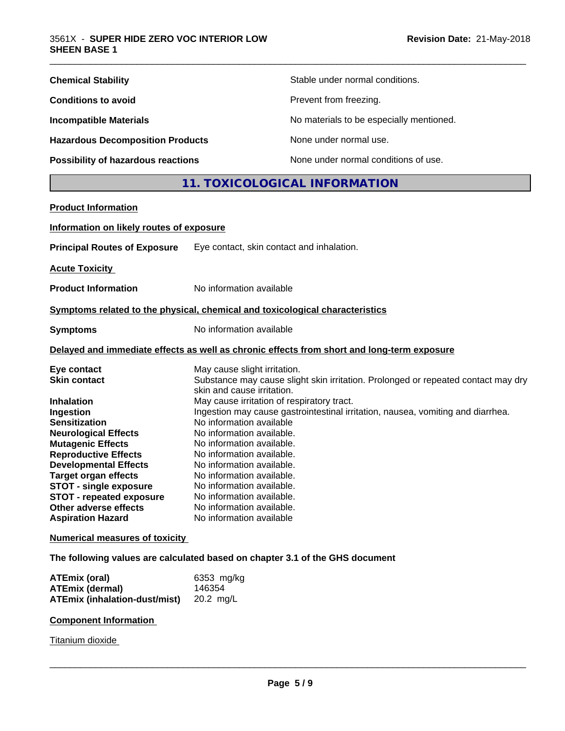| <b>Chemical Stability</b>               | Stable under normal conditions.          |
|-----------------------------------------|------------------------------------------|
| <b>Conditions to avoid</b>              | Prevent from freezing.                   |
| <b>Incompatible Materials</b>           | No materials to be especially mentioned. |
| <b>Hazardous Decomposition Products</b> | None under normal use.                   |
| Possibility of hazardous reactions      | None under normal conditions of use.     |

# **11. TOXICOLOGICAL INFORMATION**

\_\_\_\_\_\_\_\_\_\_\_\_\_\_\_\_\_\_\_\_\_\_\_\_\_\_\_\_\_\_\_\_\_\_\_\_\_\_\_\_\_\_\_\_\_\_\_\_\_\_\_\_\_\_\_\_\_\_\_\_\_\_\_\_\_\_\_\_\_\_\_\_\_\_\_\_\_\_\_\_\_\_\_\_\_\_\_\_\_\_\_\_\_

| <b>Product Information</b>               |                                                                                                                 |
|------------------------------------------|-----------------------------------------------------------------------------------------------------------------|
| Information on likely routes of exposure |                                                                                                                 |
| <b>Principal Routes of Exposure</b>      | Eye contact, skin contact and inhalation.                                                                       |
| <b>Acute Toxicity</b>                    |                                                                                                                 |
| <b>Product Information</b>               | No information available                                                                                        |
|                                          | Symptoms related to the physical, chemical and toxicological characteristics                                    |
| <b>Symptoms</b>                          | No information available                                                                                        |
|                                          | Delayed and immediate effects as well as chronic effects from short and long-term exposure                      |
| Eye contact                              | May cause slight irritation.                                                                                    |
| <b>Skin contact</b>                      | Substance may cause slight skin irritation. Prolonged or repeated contact may dry<br>skin and cause irritation. |
| <b>Inhalation</b>                        | May cause irritation of respiratory tract.                                                                      |
| Ingestion                                | Ingestion may cause gastrointestinal irritation, nausea, vomiting and diarrhea.                                 |
| <b>Sensitization</b>                     | No information available                                                                                        |
| <b>Neurological Effects</b>              | No information available.                                                                                       |
| <b>Mutagenic Effects</b>                 | No information available.                                                                                       |
| <b>Reproductive Effects</b>              | No information available.                                                                                       |
| <b>Developmental Effects</b>             | No information available.                                                                                       |
| <b>Target organ effects</b>              | No information available.                                                                                       |
| <b>STOT - single exposure</b>            | No information available.                                                                                       |
| <b>STOT - repeated exposure</b>          | No information available.                                                                                       |
| <b>Other adverse effects</b>             | No information available.                                                                                       |
| <b>Aspiration Hazard</b>                 | No information available                                                                                        |
| <b>Numerical measures of toxicity</b>    |                                                                                                                 |

**The following values are calculated based on chapter 3.1 of the GHS document**

| ATEmix (oral)                           | 6353 mg/kg |
|-----------------------------------------|------------|
| <b>ATEmix (dermal)</b>                  | 146354     |
| ATEmix (inhalation-dust/mist) 20.2 mg/L |            |

#### **Component Information**

Titanium dioxide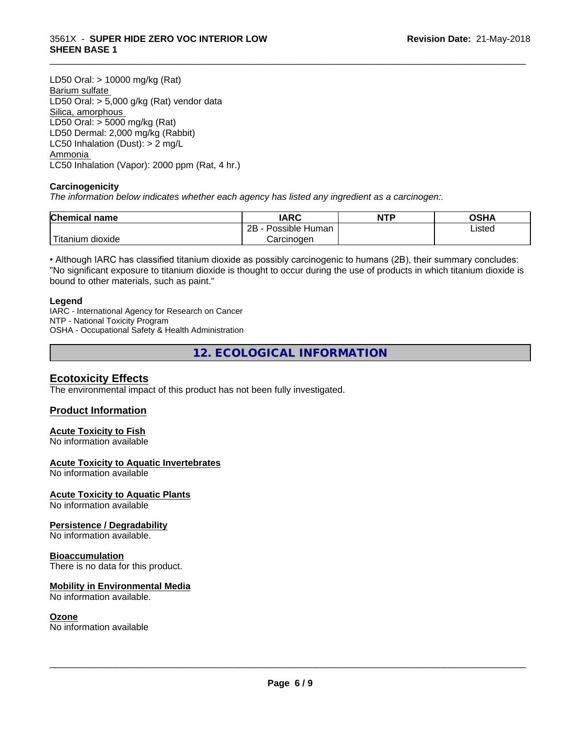#### 3561X - **SUPER HIDE ZERO VOC INTERIOR LOW SHEEN BASE 1**

LD50 Oral: > 10000 mg/kg (Rat) Barium sulfate LD50 Oral: > 5,000 g/kg (Rat) vendor data Silica, amorphous LD50 Oral: > 5000 mg/kg (Rat) LD50 Dermal: 2,000 mg/kg (Rabbit) LC50 Inhalation (Dust): > 2 mg/L Ammonia LC50 Inhalation (Vapor): 2000 ppm (Rat, 4 hr.)

#### **Carcinogenicity**

*The information below indicateswhether each agency has listed any ingredient as a carcinogen:.*

| <b>Chemical</b><br>name  | <b>IARC</b>                    | <b>NTP</b> | ດເ⊔∧<br>JJNP |
|--------------------------|--------------------------------|------------|--------------|
|                          | . .<br>2B<br>Human<br>Possible |            | Listed       |
| $-1$<br>ritanium dioxide | Carcinoɑen                     |            |              |

\_\_\_\_\_\_\_\_\_\_\_\_\_\_\_\_\_\_\_\_\_\_\_\_\_\_\_\_\_\_\_\_\_\_\_\_\_\_\_\_\_\_\_\_\_\_\_\_\_\_\_\_\_\_\_\_\_\_\_\_\_\_\_\_\_\_\_\_\_\_\_\_\_\_\_\_\_\_\_\_\_\_\_\_\_\_\_\_\_\_\_\_\_

• Although IARC has classified titanium dioxide as possibly carcinogenic to humans (2B), their summary concludes: "No significant exposure to titanium dioxide is thought to occur during the use of products in which titanium dioxide is bound to other materials, such as paint."

#### **Legend**

IARC - International Agency for Research on Cancer NTP - National Toxicity Program OSHA - Occupational Safety & Health Administration

**12. ECOLOGICAL INFORMATION**

#### **Ecotoxicity Effects**

The environmental impact of this product has not been fully investigated.

#### **Product Information**

#### **Acute Toxicity to Fish**

No information available

#### **Acute Toxicity to Aquatic Invertebrates**

No information available

#### **Acute Toxicity to Aquatic Plants**

No information available

#### **Persistence / Degradability**

No information available.

#### **Bioaccumulation**

There is no data for this product.

#### **Mobility in Environmental Media**

No information available.

#### **Ozone**

No information available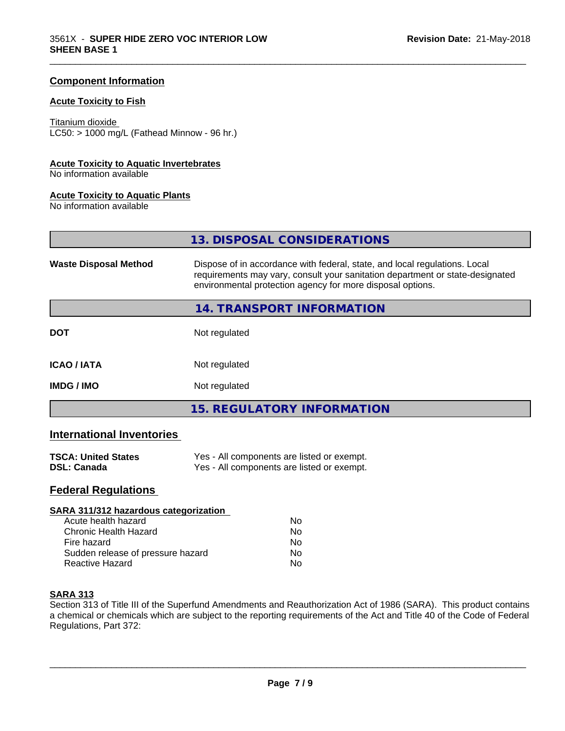#### **Component Information**

#### **Acute Toxicity to Fish**

#### Titanium dioxide

 $LC50:$  > 1000 mg/L (Fathead Minnow - 96 hr.)

#### **Acute Toxicity to Aquatic Invertebrates**

No information available

#### **Acute Toxicity to Aquatic Plants**

No information available

**13. DISPOSAL CONSIDERATIONS**

\_\_\_\_\_\_\_\_\_\_\_\_\_\_\_\_\_\_\_\_\_\_\_\_\_\_\_\_\_\_\_\_\_\_\_\_\_\_\_\_\_\_\_\_\_\_\_\_\_\_\_\_\_\_\_\_\_\_\_\_\_\_\_\_\_\_\_\_\_\_\_\_\_\_\_\_\_\_\_\_\_\_\_\_\_\_\_\_\_\_\_\_\_

| <b>Waste Disposal Method</b> | Dispose of in accordance with federal, state, and local regulations. Local<br>requirements may vary, consult your sanitation department or state-designated<br>environmental protection agency for more disposal options. |
|------------------------------|---------------------------------------------------------------------------------------------------------------------------------------------------------------------------------------------------------------------------|
|                              | 14. TRANSPORT INFORMATION                                                                                                                                                                                                 |
| <b>DOT</b>                   | Not regulated                                                                                                                                                                                                             |
| <b>ICAO/IATA</b>             | Not regulated                                                                                                                                                                                                             |
| <b>IMDG/IMO</b>              | Not regulated                                                                                                                                                                                                             |
|                              | <b>15. REGULATORY INFORMATION</b>                                                                                                                                                                                         |

#### **International Inventories**

| <b>TSCA: United States</b> | Yes - All components are listed or exempt. |
|----------------------------|--------------------------------------------|
| <b>DSL: Canada</b>         | Yes - All components are listed or exempt. |

# **Federal Regulations**

| SARA 311/312 hazardous categorization |    |  |
|---------------------------------------|----|--|
| Acute health hazard                   | Nο |  |
| Chronic Health Hazard                 | Nο |  |
| Fire hazard                           | No |  |
| Sudden release of pressure hazard     | No |  |
| Reactive Hazard                       | No |  |

#### **SARA 313**

Section 313 of Title III of the Superfund Amendments and Reauthorization Act of 1986 (SARA). This product contains a chemical or chemicals which are subject to the reporting requirements of the Act and Title 40 of the Code of Federal Regulations, Part 372: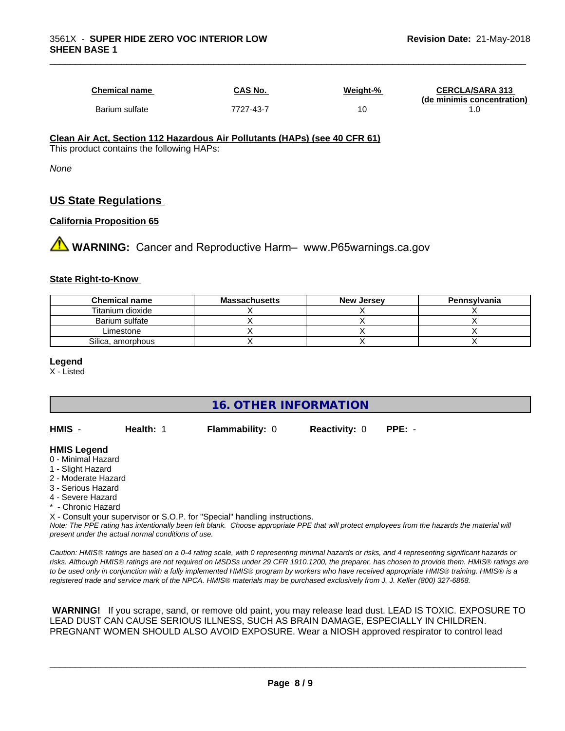| <b>Chemical name</b> | CAS No.   | Weight-% | <b>CERCLA/SARA 313</b><br>(de minimis concentration) |
|----------------------|-----------|----------|------------------------------------------------------|
| Barium sulfate       | 7727-43-7 | 10       |                                                      |

\_\_\_\_\_\_\_\_\_\_\_\_\_\_\_\_\_\_\_\_\_\_\_\_\_\_\_\_\_\_\_\_\_\_\_\_\_\_\_\_\_\_\_\_\_\_\_\_\_\_\_\_\_\_\_\_\_\_\_\_\_\_\_\_\_\_\_\_\_\_\_\_\_\_\_\_\_\_\_\_\_\_\_\_\_\_\_\_\_\_\_\_\_

#### **Clean Air Act,Section 112 Hazardous Air Pollutants (HAPs) (see 40 CFR 61)** This product contains the following HAPs:

*None*

# **US State Regulations**

#### **California Proposition 65**

**AVIMARNING:** Cancer and Reproductive Harm– www.P65warnings.ca.gov

#### **State Right-to-Know**

| <b>Chemical name</b> | <b>Massachusetts</b> | <b>New Jersey</b> | Pennsylvania |
|----------------------|----------------------|-------------------|--------------|
| Titanium dioxide     |                      |                   |              |
| Barium sulfate       |                      |                   |              |
| Limestone            |                      |                   |              |
| Silica, amorphous    |                      |                   |              |

#### **Legend**

X - Listed

# **16. OTHER INFORMATION**

| <u>HMIS</u> -                                                                      | Health: 1 | <b>Flammability: 0</b> | <b>Reactivity: 0</b> | $PPE: -$ |
|------------------------------------------------------------------------------------|-----------|------------------------|----------------------|----------|
| <b>HMIS Legend</b><br>0 - Minimal Hazard<br>1 - Slight Hazard<br>0 Moderate Horard |           |                        |                      |          |

- 2 Moderate Hazard
- 3 Serious Hazard
- 4 Severe Hazard
- **Chronic Hazard**

X - Consult your supervisor or S.O.P. for "Special" handling instructions.

*Note: The PPE rating has intentionally been left blank. Choose appropriate PPE that will protect employees from the hazards the material will present under the actual normal conditions of use.*

*Caution: HMISÒ ratings are based on a 0-4 rating scale, with 0 representing minimal hazards or risks, and 4 representing significant hazards or risks. Although HMISÒ ratings are not required on MSDSs under 29 CFR 1910.1200, the preparer, has chosen to provide them. HMISÒ ratings are to be used only in conjunction with a fully implemented HMISÒ program by workers who have received appropriate HMISÒ training. HMISÒ is a registered trade and service mark of the NPCA. HMISÒ materials may be purchased exclusively from J. J. Keller (800) 327-6868.*

 **WARNING!** If you scrape, sand, or remove old paint, you may release lead dust. LEAD IS TOXIC. EXPOSURE TO LEAD DUST CAN CAUSE SERIOUS ILLNESS, SUCH AS BRAIN DAMAGE, ESPECIALLY IN CHILDREN. PREGNANT WOMEN SHOULD ALSO AVOID EXPOSURE.Wear a NIOSH approved respirator to control lead